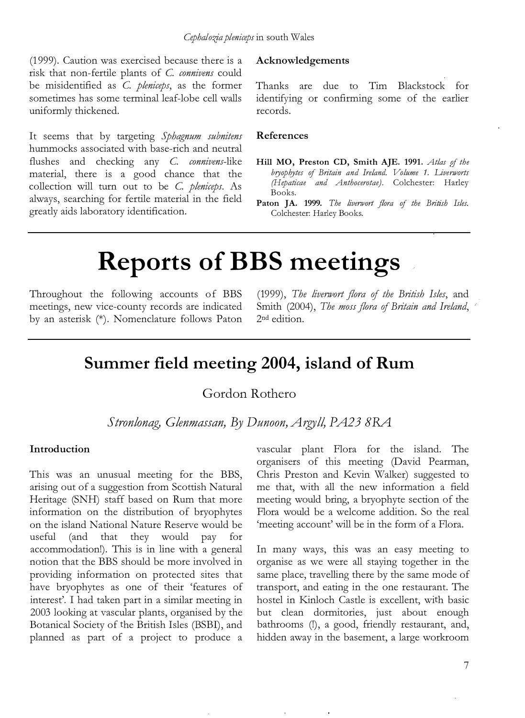(1999). Caution was exercised because there is a risk that non-fertile plants of C. connivens could be misidentified as C. pleniceps, as the former sometimes has some terminal leaf-lobe cell walls uniformly thickened.

It seems that by targeting Sphagnum subnitens hummocks associated with base-rich and neutral flushes and checking any C. connivens-like material, there is a good chance that the collection will turn out to be C. pleniceps. As always, searching for fertile material in the field greatly aids laboratory identification.

### Acknowledgements

Thanks are due to Tim Blackstock for identifying or confirming some of the earlier records.

### References

- Hill MO, Preston CD, Smith AJE. 1991. Atlas of the bryophytes of Britain and Ireland. Volume 1. Liverworts (Hepaticae and Anthocerotae). Colchester: Harley Books.
- Paton JA. 1999. The liverwort flora of the British Isles. Colchester: Harley Books.

# Reports of BBS meetings

Throughout the following accounts of BBS meetings, new vice-county records are indicated by an asterisk (\*). Nomenclature follows Paton (1999), The liverwort flora of the British Isles, and Smith (2004), The moss flora of Britain and Ireland, 2nd edition.

# Summer field meeting 2004, island of Rum

Gordon Rothero

Stronlonag, Glenmassan, By Dunoon, Argyll, PA23 8RA

## Introduction

This was an unusual meeting for the BBS, arising out of a suggestion from Scottish Natural Heritage (SNH) staff based on Rum that more information on the distribution of bryophytes on the island National Nature Reserve would be useful (and that they would pay for accommodation!). This is in line with a general notion that the BBS should be more involved in providing information on protected sites that have bryophytes as one of their 'features of interest'. I had taken part in a similar meeting in 2003 looking at vascular plants, organised by the Botanical Society of the British Isles (BSBI), and planned as part of a project to produce a

vascular plant Flora for the island. The organisers of this meeting (David Pearman, Chris Preston and Kevin Walker) suggested to me that, with all the new information a field meeting would bring, a bryophyte section of the Flora would be a welcome addition. So the real 'meeting account' will be in the form of a Flora.

In many ways, this was an easy meeting to organise as we were all staying together in the same place, travelling there by the same mode of transport, and eating in the one restaurant. The hostel in Kinloch Castle is excellent, with basic but clean dormitories, just about enough bathrooms (!), a good, friendly restaurant, and, hidden away in the basement, a large workroom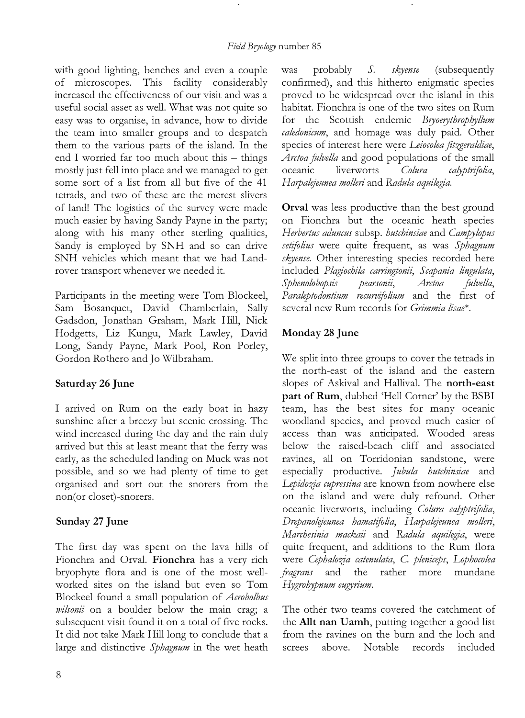with good lighting, benches and even a couple of microscopes. This facility considerably increased the effectiveness of our visit and was a useful social asset as well. What was not quite so easy was to organise, in advance, how to divide the team into smaller groups and to despatch them to the various parts of the island. In the end I worried far too much about this - things mostly just fell into place and we managed to get some sort of a list from all but five of the 41 tetrads, and two of these are the merest slivers of land! The logistics of the survey were made much easier by having Sandy Payne in the party; along with his many other sterling qualities, Sandy is employed by SNH and so can drive SNH vehicles which meant that we had Landrover transport whenever we needed it.

Participants in the meeting were Tom Blocked, Sam Bosanquet, David Chamberlain, Sally Gadsdon, Jonathan Graham, Mark Hill, Nick Hodgetts, Liz Kungu, Mark Lawley, David Long, Sandy Payne, Mark Pool, Ron Porley, Gordon Rothero and Jo Wilbraham.

# Saturday 26 June

I arrived on Rum on the early boat in hazy sunshine after a breezy but scenic crossing. The wind increased during the day and the rain duly arrived but this at least meant that the ferry was early, as the scheduled landing on Muck was not possible, and so we had plenty of time to get organised and sort out the snorers from the non(or closet)-snorers.

# Sunday 27 June

The first day was spent on the lava hills of Fionchra and Orval. Fionchra has a very rich bryophyte flora and is one of the most wellworked sites on the island but even so Tom Blockeel found a small population of Acrobolbus *wilsonii* on a boulder below the main crag; a subsequent visit found it on a total of five rocks. It did not take Mark Hill long to conclude that a large and distinctive Sphagnum in the wet heath

was probably S. skyense (subsequently confirmed), and this hitherto enigmatic species proved to be widespread over the island in this habitat. Fionchra is one of the two sites on Rum for the Scottish endemic Bryoerythrophyllum caledonicum, and homage was duly paid. Other species of interest here were Leiocolea fitzgeraldiae, Arctoa fulvella and good populations of the small<br>oceanic liverworts Colura calyptrifolia. oceanic liverworts Colura calyptrifolia, Harpalejeunea molleri and Radula aquilegia.

Orval was less productive than the best ground on Fionchra but the oceanic heath species Herbertus aduncus subsp. hutchinsiae and Campylopus setifolius were quite frequent, as was Sphagnum skyense. Other interesting species recorded here included Plagiochila carringtonii, Scapania lingulata, Sphenolobopsis pearsonii, Arctoa fulvella, Paraleptodontium recurvifolium and the first of several new Rum records for Grimmia lisae\*.

# Monday 28 June

We split into three groups to cover the tetrads in the north-east of the island and the eastern slopes of Askival and Hallival. The north-east part of Rum, dubbed 'Hell Corner' by the BSBI team, has the best sites for many oceanic woodland species, and proved much easier of access than was anticipated. Wooded areas below the raised-beach cliff and associated ravines, all on Torridonian sandstone, were especially productive. Jubula hutchinsiae and Lepidozia cupressina are known from nowhere else on the island and were duly refound. Other oceanic liverworts, including Colura calyptrifolia, Drepanolejeunea hamatifolia, Harpalejeunea molleri, Marchesinia mackaii and Radula aquilegia, were quite frequent, and additions to the Rum flora were Cephalozia catenulata, C. pleniceps, Lophocolea fragrans and the rather more mundane Hygrohypnum eugyrium.

The other two teams covered the catchment of the Allt nan Uamh, putting together a good list from the ravines on the burn and the loch and screes above. Notable records included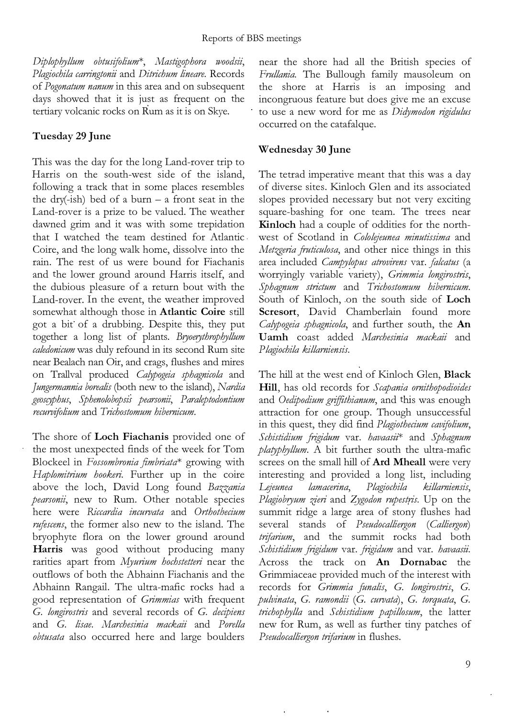Diplophyllum obtusifolium\*, Mastigophora woodsii, Plagiochila carringtonii and Ditrichum lineare. Records of Pogonatum nanum in this area and on subsequent days showed that it is just as frequent on the tertiary volcanic rocks on Rum as it is on Skye.

## Tuesday 29 June

This was the day for the long Land-rover trip to Harris on the south-west side of the island, following a track that in some places resembles the dry(-ish) bed of a burn  $-$  a front seat in the Land-rover is a prize to be valued. The weather dawned grim and it was with some trepidation that I watched the team destined for Atlantic Coire, and the long walk home, dissolve into the rain. The rest of us were bound for Fiachanis and the lower ground around Harris itself, and the dubious pleasure of a return bout with the Land-rover. In the event, the weather improved somewhat although those in Atlantic Coire still got a bit of a drubbing. Despite this, they put together a long list of plants. Bryoerythrophyllum caledonicum was duly refound in its second Rum site near Bealach nan Oir, and crags, flushes and mires on Trallval produced Calypogeia sphagnicola and Jungermannia borealis (both new to the island), Nardia geosgphus, Sphenolobopsis pearsonii, Paraleptodontium recurvifolium and Trichostomum hibemicum.

The shore of **Loch Fiachanis** provided one of the most unexpected flnds of the week for Tom Blockeel in Fossombronia fimbriata\* growing with Haplomitrium hookeri. Further up in the coire above the loch, David Long found Bazzania pearsonii, new to Rum. Other notable species here were Riccardia incurvata and Orthothecium rufescens, the former also new to the island. The bryophyte flora on the lower ground around Harris was good without producing many rarities apart from Myurium hochstetteri near the outflows of both the Abhainn Fiachanis and the Abhainn Rangail. The ultra-mafic rocks had a good representation of Grimmias with frequent G. longirostris and several records of G. decipiens and G. lisae. Marchesinia mackaii and Porella obtusata also occurred here and large boulders

near the shore had all the British species of Frullania. The Bullough family mausoleum on the shore at Harris is an imposing and incongruous feature but does give me an excuse to use a new word for me as Didymodon rigidulus occurred on the catafalque.

## Wednesday 30 June

The tetrad imperative meant that this was a day of diverse sites. Kinloch Glen and its associated slopes provided necessary but not very exciting square-bashing for one team. The trees near Kinloch had a couple of oddities for the northwest of Scotland in Cololejeunea minutissima and Metzgeria fruticulosa, and other nice things in this area included Campylopus atrovirens var. falcatus (a worryingly variable variety), Grimmia longirostris, Sphagnum strictum and Trichostomum hibernicum. South of Kinloch, on the south side of Loch Scresort, David Chamberlain found more Calypogeia sphagnicola, and further south, the An Uamh coast added Marchesinia mackaii and P lagiochila killamiensis.

The hill at the west end of Kinloch Glen, Black Hill, has old records for Scapania ornithopodioides and Oedipodium griffithianum, and this was enough attraction for one group. Though unsuccessful in this quest, they did find Plagiothecium cavifolium, Schistidium frigidum var. havaasii\* and Sphagnum  $p$ latyphyllum. A bit further south the ultra-mafic screes on the small hill of Ard Mheall were very interesting and provided a long list, including Lejeunea lamacerina, Plagiochila killarniensis, Plagiobryum zieri and Zygodon rupestris. Up on the summit ridge a large area of stony flushes had several stands of Pseudocalliergon (Calliergon) trifarium, and the summit rocks had both Schistidium frigidum var. frigidum and var. havaasii. Across the track on An Dornabac the Grimmiaceae provided much of the interest with records for Grimmia funalis, G. longirostris, G. pulvinata, G. ramondii (G. curvata), G. torquata, G. trichophylla and Schistidium papillosum, the latter new for Rum, as well as further tiny patches of Pseudocalliergon trifarium in flushes.